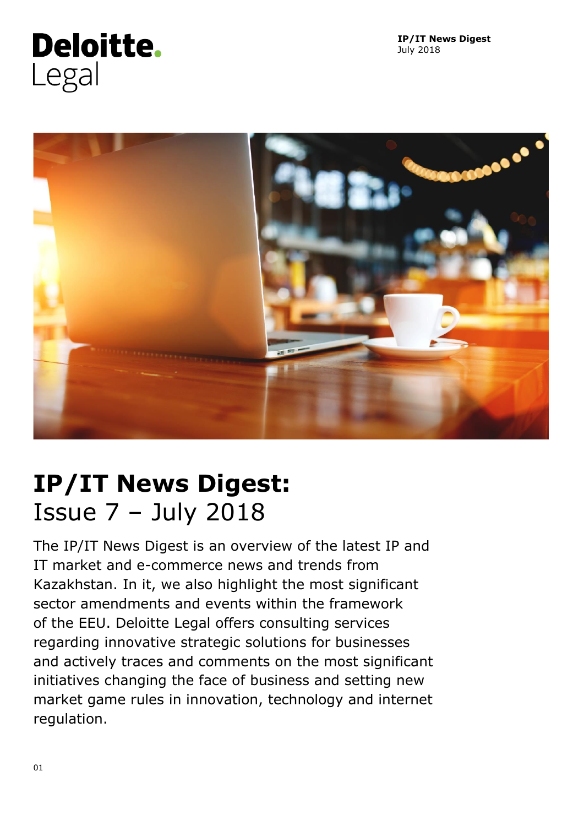

**IP/IT News Digest** July 2018



# **IP/IT News Digest:** Issue 7 – July 2018

The IP/IT News Digest is an overview of the latest IP and IT market and e-commerce news and trends from Kazakhstan. In it, we also highlight the most significant sector amendments and events within the framework of the EEU. Deloitte Legal offers consulting services regarding innovative strategic solutions for businesses and actively traces and comments on the most significant initiatives changing the face of business and setting new market game rules in innovation, technology and internet regulation.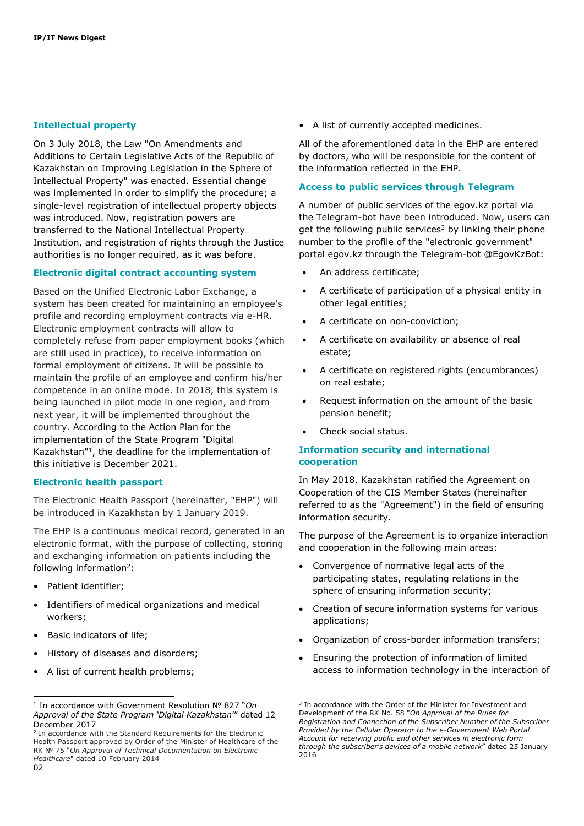#### **Intellectual property**

On 3 July 2018, the Law "On Amendments and Additions to Certain Legislative Acts of the Republic of Kazakhstan on Improving Legislation in the Sphere of Intellectual Property" was enacted. Essential change was implemented in order to simplify the procedure; a single-level registration of intellectual property objects was introduced. Now, registration powers are transferred to the National Intellectual Property Institution, and registration of rights through the Justice authorities is no longer required, as it was before.

#### **Electronic digital contract accounting system**

Based on the Unified Electronic Labor Exchange, a system has been created for maintaining an employee's profile and recording employment contracts via e-HR. Electronic employment contracts will allow to completely refuse from paper employment books (which are still used in practice), to receive information on formal employment of citizens. It will be possible to maintain the profile of an employee and confirm his/her competence in an online mode. In 2018, this system is being launched in pilot mode in one region, and from next year, it will be implemented throughout the country. According to the Action Plan for the implementation of the State Program "Digital Kazakhstan"<sup>1</sup> , the deadline for the implementation of this initiative is December 2021.

#### **Electronic health passport**

The Electronic Health Passport (hereinafter, "EHP") will be introduced in Kazakhstan by 1 January 2019.

The EHP is a continuous medical record, generated in an electronic format, with the purpose of collecting, storing and exchanging information on patients including the following information<sup>2</sup>:

- Patient identifier;
- Identifiers of medical organizations and medical workers;
- Basic indicators of life;
- History of diseases and disorders;
- A list of current health problems;

• A list of currently accepted medicines.

All of the aforementioned data in the EHP are entered by doctors, who will be responsible for the content of the information reflected in the EHP.

#### **Access to public services through Telegram**

A number of public services of the egov.kz portal via the Telegram-bot have been introduced. Now, users can get the following public services<sup>3</sup> by linking their phone number to the profile of the "electronic government" portal egov.kz through the Telegram-bot @EgovKzBot:

- An address certificate;
- A certificate of participation of a physical entity in other legal entities;
- A certificate on non-conviction;
- A certificate on availability or absence of real estate;
- A certificate on registered rights (encumbrances) on real estate;
- Request information on the amount of the basic pension benefit;
- Check social status.

#### **Information security and international cooperation**

In May 2018, Kazakhstan ratified the Agreement on Cooperation of the CIS Member States (hereinafter referred to as the "Agreement") in the field of ensuring information security.

The purpose of the Agreement is to organize interaction and cooperation in the following main areas:

- Convergence of normative legal acts of the participating states, regulating relations in the sphere of ensuring information security;
- Creation of secure information systems for various applications;
- Organization of cross-border information transfers;
- Ensuring the protection of information of limited access to information technology in the interaction of

ł 1 In accordance with Government Resolution № 827 "*On Approval of the State Program 'Digital Kazakhstan*'" dated 12 December 2017

<sup>02</sup> 2 In accordance with the Standard Requirements for the Electronic Health Passport approved by Order of the Minister of Healthcare of the RK № 75 "*On Approval of Technical Documentation on Electronic Healthcare*" dated 10 February 2014

<sup>&</sup>lt;sup>3</sup> In accordance with the Order of the Minister for Investment and Development of the RK No. 58 "*On Approval of the Rules for Registration and Connection of the Subscriber Number of the Subscriber Provided by the Cellular Operator to the e-Government Web Portal Account for receiving public and other services in electronic form through the subscriber's devices of a mobile network*" dated 25 January 2016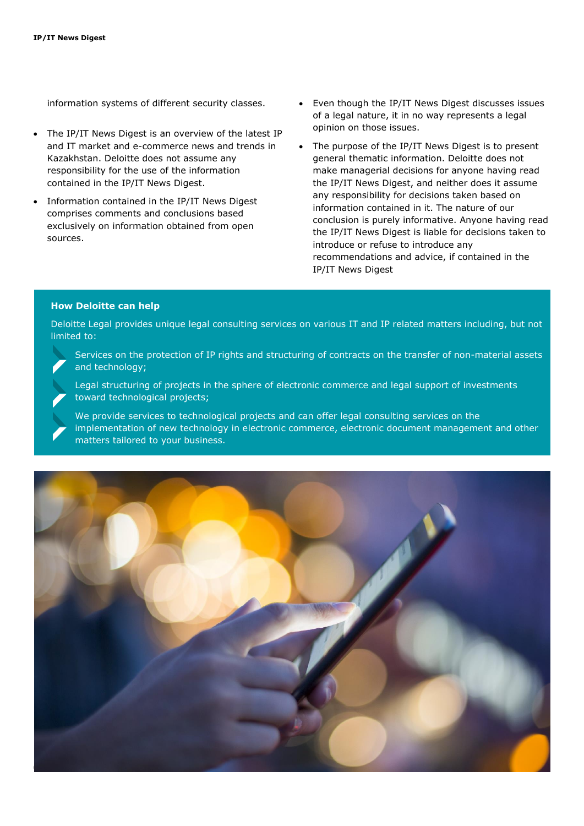information systems of different security classes.

- The IP/IT News Digest is an overview of the latest IP and IT market and e-commerce news and trends in Kazakhstan. Deloitte does not assume any responsibility for the use of the information contained in the IP/IT News Digest.
- Information contained in the IP/IT News Digest comprises comments and conclusions based exclusively on information obtained from open sources.
- Even though the IP/IT News Digest discusses issues of a legal nature, it in no way represents a legal opinion on those issues.
- The purpose of the IP/IT News Digest is to present general thematic information. Deloitte does not make managerial decisions for anyone having read the IP/IT News Digest, and neither does it assume any responsibility for decisions taken based on information contained in it. The nature of our conclusion is purely informative. Anyone having read the IP/IT News Digest is liable for decisions taken to introduce or refuse to introduce any recommendations and advice, if contained in the IP/IT News Digest

#### **How Deloitte can help**

Deloitte Legal provides unique legal consulting services on various IT and IP related matters including, but not limited to:

Services on the protection of IP rights and structuring of contracts on the transfer of non-material assets and technology;

Legal structuring of projects in the sphere of electronic commerce and legal support of investments toward technological projects;

We provide services to technological projects and can offer legal consulting services on the implementation of new technology in electronic commerce, electronic document management and other matters tailored to your business.